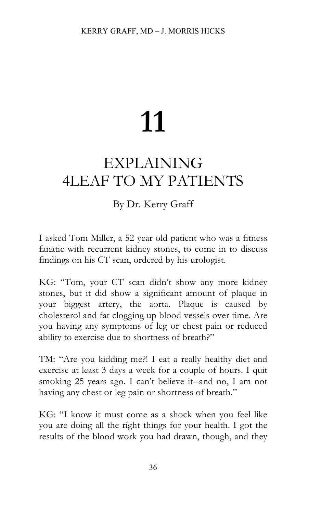# **11**

## EXPLAINING 4LEAF TO MY PATIENTS

### By Dr. Kerry Graff

I asked Tom Miller, a 52 year old patient who was a fitness fanatic with recurrent kidney stones, to come in to discuss findings on his CT scan, ordered by his urologist.

KG: "Tom, your CT scan didn't show any more kidney stones, but it did show a significant amount of plaque in your biggest artery, the aorta. Plaque is caused by cholesterol and fat clogging up blood vessels over time. Are you having any symptoms of leg or chest pain or reduced ability to exercise due to shortness of breath?"

TM: "Are you kidding me?! I eat a really healthy diet and exercise at least 3 days a week for a couple of hours. I quit smoking 25 years ago. I can't believe it--and no, I am not having any chest or leg pain or shortness of breath."

KG: "I know it must come as a shock when you feel like you are doing all the right things for your health. I got the results of the blood work you had drawn, though, and they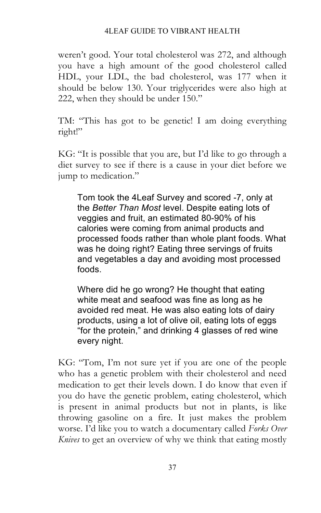#### 4LEAF GUIDE TO VIBRANT HEALTH

weren't good. Your total cholesterol was 272, and although you have a high amount of the good cholesterol called HDL, your LDL, the bad cholesterol, was 177 when it should be below 130. Your triglycerides were also high at 222, when they should be under 150."

TM: "This has got to be genetic! I am doing everything right!"

KG: "It is possible that you are, but I'd like to go through a diet survey to see if there is a cause in your diet before we jump to medication."

Tom took the 4Leaf Survey and scored -7, only at the *Better Than Most* level. Despite eating lots of veggies and fruit, an estimated 80-90% of his calories were coming from animal products and processed foods rather than whole plant foods. What was he doing right? Eating three servings of fruits and vegetables a day and avoiding most processed foods.

Where did he go wrong? He thought that eating white meat and seafood was fine as long as he avoided red meat. He was also eating lots of dairy products, using a lot of olive oil, eating lots of eggs "for the protein," and drinking 4 glasses of red wine every night.

KG: "Tom, I'm not sure yet if you are one of the people who has a genetic problem with their cholesterol and need medication to get their levels down. I do know that even if you do have the genetic problem, eating cholesterol, which is present in animal products but not in plants, is like throwing gasoline on a fire. It just makes the problem worse. I'd like you to watch a documentary called *Forks Over Knives* to get an overview of why we think that eating mostly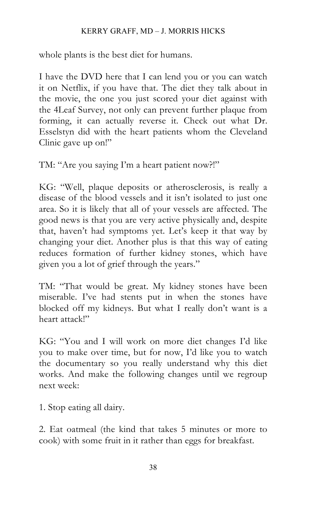#### KERRY GRAFF, MD – J. MORRIS HICKS

whole plants is the best diet for humans.

I have the DVD here that I can lend you or you can watch it on Netflix, if you have that. The diet they talk about in the movie, the one you just scored your diet against with the 4Leaf Survey, not only can prevent further plaque from forming, it can actually reverse it. Check out what Dr. Esselstyn did with the heart patients whom the Cleveland Clinic gave up on!"

TM: "Are you saying I'm a heart patient now?!"

KG: "Well, plaque deposits or atherosclerosis, is really a disease of the blood vessels and it isn't isolated to just one area. So it is likely that all of your vessels are affected. The good news is that you are very active physically and, despite that, haven't had symptoms yet. Let's keep it that way by changing your diet. Another plus is that this way of eating reduces formation of further kidney stones, which have given you a lot of grief through the years."

TM: "That would be great. My kidney stones have been miserable. I've had stents put in when the stones have blocked off my kidneys. But what I really don't want is a heart attack!"

KG: "You and I will work on more diet changes I'd like you to make over time, but for now, I'd like you to watch the documentary so you really understand why this diet works. And make the following changes until we regroup next week:

1. Stop eating all dairy.

2. Eat oatmeal (the kind that takes 5 minutes or more to cook) with some fruit in it rather than eggs for breakfast.